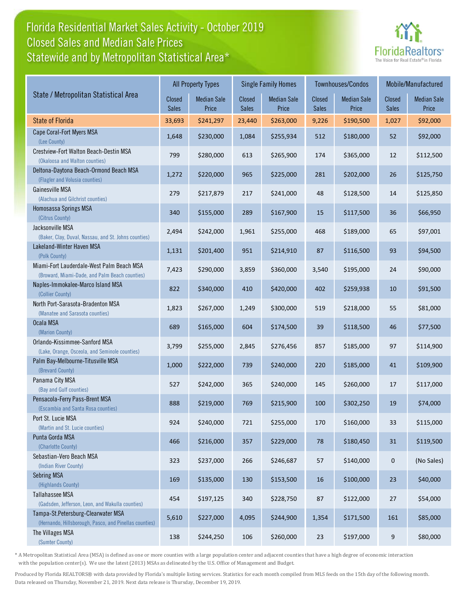## Florida Residential Market Sales Activity - October 2019 Statewide and by Metropolitan Statistical Area\* Closed Sales and Median Sale Prices



|                                                                                              | <b>All Property Types</b> |                             |                        | <b>Single Family Homes</b>  |                        | Townhouses/Condos           | Mobile/Manufactured |                             |
|----------------------------------------------------------------------------------------------|---------------------------|-----------------------------|------------------------|-----------------------------|------------------------|-----------------------------|---------------------|-----------------------------|
| State / Metropolitan Statistical Area                                                        | Closed<br><b>Sales</b>    | <b>Median Sale</b><br>Price | Closed<br><b>Sales</b> | <b>Median Sale</b><br>Price | <b>Closed</b><br>Sales | <b>Median Sale</b><br>Price | Closed<br>Sales     | <b>Median Sale</b><br>Price |
| <b>State of Florida</b>                                                                      | 33,693                    | \$241,297                   | 23,440                 | \$263,000                   | 9,226                  | \$190,500                   | 1,027               | \$92,000                    |
| Cape Coral-Fort Myers MSA<br>(Lee County)                                                    | 1,648                     | \$230,000                   | 1,084                  | \$255,934                   | 512                    | \$180,000                   | 52                  | \$92,000                    |
| Crestview-Fort Walton Beach-Destin MSA<br>(Okaloosa and Walton counties)                     | 799                       | \$280,000                   | 613                    | \$265,900                   | 174                    | \$365,000                   | 12                  | \$112,500                   |
| Deltona-Daytona Beach-Ormond Beach MSA<br>(Flagler and Volusia counties)                     | 1,272                     | \$220,000                   | 965                    | \$225,000                   | 281                    | \$202,000                   | 26                  | \$125,750                   |
| Gainesville MSA<br>(Alachua and Gilchrist counties)                                          | 279                       | \$217,879                   | 217                    | \$241,000                   | 48                     | \$128,500                   | 14                  | \$125,850                   |
| Homosassa Springs MSA<br>(Citrus County)                                                     | 340                       | \$155,000                   | 289                    | \$167,900                   | 15                     | \$117,500                   | 36                  | \$66,950                    |
| Jacksonville MSA<br>(Baker, Clay, Duval, Nassau, and St. Johns counties)                     | 2,494                     | \$242,000                   | 1,961                  | \$255,000                   | 468                    | \$189,000                   | 65                  | \$97,001                    |
| Lakeland-Winter Haven MSA<br>(Polk County)                                                   | 1,131                     | \$201,400                   | 951                    | \$214,910                   | 87                     | \$116,500                   | 93                  | \$94,500                    |
| Miami-Fort Lauderdale-West Palm Beach MSA<br>(Broward, Miami-Dade, and Palm Beach counties)  | 7,423                     | \$290,000                   | 3,859                  | \$360,000                   | 3,540                  | \$195,000                   | 24                  | \$90,000                    |
| Naples-Immokalee-Marco Island MSA<br>(Collier County)                                        | 822                       | \$340,000                   | 410                    | \$420,000                   | 402                    | \$259,938                   | 10                  | \$91,500                    |
| North Port-Sarasota-Bradenton MSA<br>(Manatee and Sarasota counties)                         | 1,823                     | \$267,000                   | 1,249                  | \$300,000                   | 519                    | \$218,000                   | 55                  | \$81,000                    |
| Ocala MSA<br>(Marion County)                                                                 | 689                       | \$165,000                   | 604                    | \$174,500                   | 39                     | \$118,500                   | 46                  | \$77,500                    |
| Orlando-Kissimmee-Sanford MSA<br>(Lake, Orange, Osceola, and Seminole counties)              | 3,799                     | \$255,000                   | 2,845                  | \$276,456                   | 857                    | \$185,000                   | 97                  | \$114,900                   |
| Palm Bay-Melbourne-Titusville MSA<br>(Brevard County)                                        | 1,000                     | \$222,000                   | 739                    | \$240,000                   | 220                    | \$185,000                   | 41                  | \$109,900                   |
| Panama City MSA<br>(Bay and Gulf counties)                                                   | 527                       | \$242,000                   | 365                    | \$240,000                   | 145                    | \$260,000                   | 17                  | \$117,000                   |
| Pensacola-Ferry Pass-Brent MSA<br>(Escambia and Santa Rosa counties)                         | 888                       | \$219,000                   | 769                    | \$215,900                   | 100                    | \$302,250                   | 19                  | \$74,000                    |
| Port St. Lucie MSA<br>(Martin and St. Lucie counties)                                        | 924                       | \$240,000                   | 721                    | \$255,000                   | 170                    | \$160,000                   | 33                  | \$115,000                   |
| Punta Gorda MSA<br>(Charlotte County)                                                        | 466                       | \$216,000                   | 357                    | \$229,000                   | 78                     | \$180,450                   | $31\,$              | \$119,500                   |
| Sebastian-Vero Beach MSA<br>(Indian River County)                                            | 323                       | \$237,000                   | 266                    | \$246,687                   | 57                     | \$140,000                   | $\pmb{0}$           | (No Sales)                  |
| Sebring MSA<br>(Highlands County)                                                            | 169                       | \$135,000                   | 130                    | \$153,500                   | 16                     | \$100,000                   | 23                  | \$40,000                    |
| <b>Tallahassee MSA</b><br>(Gadsden, Jefferson, Leon, and Wakulla counties)                   | 454                       | \$197,125                   | 340                    | \$228,750                   | 87                     | \$122,000                   | 27                  | \$54,000                    |
| Tampa-St.Petersburg-Clearwater MSA<br>(Hernando, Hillsborough, Pasco, and Pinellas counties) | 5,610                     | \$227,000                   | 4,095                  | \$244,900                   | 1,354                  | \$171,500                   | 161                 | \$85,000                    |
| The Villages MSA<br>(Sumter County)                                                          | 138                       | \$244,250                   | 106                    | \$260,000                   | 23                     | \$197,000                   | 9                   | \$80,000                    |

\* A Metropolitan Statistical Area (MSA) is defined as one or more counties with a large population center and adjacent counties that have a high degree of economic interaction with the population center(s). We use the latest (2013) MSAs as delineated by the U.S. Office of Management and Budget.

Produced by Florida REALTORS® with data provided by Florida's multiple listing services. Statistics for each month compiled from MLS feeds on the 15th day of the following month. Data released on Thursday, November 21, 2019. Next data release is Thursday, December 19, 2019.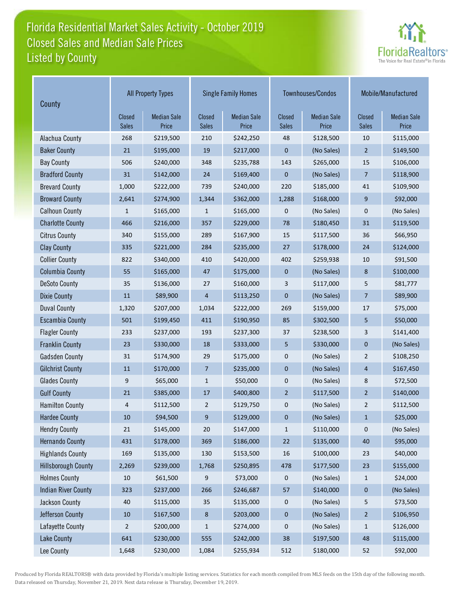## Florida Residential Market Sales Activity - October 2019 Listed by County Closed Sales and Median Sale Prices



| County                     | <b>All Property Types</b> |                             |                        | <b>Single Family Homes</b>  |                        | Townhouses/Condos           | Mobile/Manufactured           |                             |
|----------------------------|---------------------------|-----------------------------|------------------------|-----------------------------|------------------------|-----------------------------|-------------------------------|-----------------------------|
|                            | Closed<br><b>Sales</b>    | <b>Median Sale</b><br>Price | Closed<br><b>Sales</b> | <b>Median Sale</b><br>Price | Closed<br><b>Sales</b> | <b>Median Sale</b><br>Price | <b>Closed</b><br><b>Sales</b> | <b>Median Sale</b><br>Price |
| Alachua County             | 268                       | \$219,500                   | 210                    | \$242,250                   | 48                     | \$128,500                   | 10                            | \$115,000                   |
| <b>Baker County</b>        | 21                        | \$195,000                   | 19                     | \$217,000                   | $\mathbf 0$            | (No Sales)                  | $\overline{2}$                | \$149,500                   |
| <b>Bay County</b>          | 506                       | \$240,000                   | 348                    | \$235,788                   | 143                    | \$265,000                   | 15                            | \$106,000                   |
| <b>Bradford County</b>     | 31                        | \$142,000                   | 24                     | \$169,400                   | $\mathbf 0$            | (No Sales)                  | $\overline{7}$                | \$118,900                   |
| <b>Brevard County</b>      | 1,000                     | \$222,000                   | 739                    | \$240,000                   | 220                    | \$185,000                   | 41                            | \$109,900                   |
| <b>Broward County</b>      | 2,641                     | \$274,900                   | 1,344                  | \$362,000                   | 1,288                  | \$168,000                   | 9                             | \$92,000                    |
| <b>Calhoun County</b>      | 1                         | \$165,000                   | 1                      | \$165,000                   | 0                      | (No Sales)                  | 0                             | (No Sales)                  |
| <b>Charlotte County</b>    | 466                       | \$216,000                   | 357                    | \$229,000                   | 78                     | \$180,450                   | 31                            | \$119,500                   |
| <b>Citrus County</b>       | 340                       | \$155,000                   | 289                    | \$167,900                   | 15                     | \$117,500                   | 36                            | \$66,950                    |
| <b>Clay County</b>         | 335                       | \$221,000                   | 284                    | \$235,000                   | 27                     | \$178,000                   | 24                            | \$124,000                   |
| <b>Collier County</b>      | 822                       | \$340,000                   | 410                    | \$420,000                   | 402                    | \$259,938                   | 10                            | \$91,500                    |
| <b>Columbia County</b>     | 55                        | \$165,000                   | 47                     | \$175,000                   | $\mathbf 0$            | (No Sales)                  | 8                             | \$100,000                   |
| <b>DeSoto County</b>       | 35                        | \$136,000                   | 27                     | \$160,000                   | 3                      | \$117,000                   | 5                             | \$81,777                    |
| <b>Dixie County</b>        | 11                        | \$89,900                    | 4                      | \$113,250                   | $\pmb{0}$              | (No Sales)                  | 7                             | \$89,900                    |
| <b>Duval County</b>        | 1,320                     | \$207,000                   | 1,034                  | \$222,000                   | 269                    | \$159,000                   | 17                            | \$75,000                    |
| <b>Escambia County</b>     | 501                       | \$199,450                   | 411                    | \$190,950                   | 85                     | \$302,500                   | 5                             | \$50,000                    |
| <b>Flagler County</b>      | 233                       | \$237,000                   | 193                    | \$237,300                   | 37                     | \$238,500                   | 3                             | \$141,400                   |
| <b>Franklin County</b>     | 23                        | \$330,000                   | 18                     | \$333,000                   | 5                      | \$330,000                   | $\mathbf 0$                   | (No Sales)                  |
| <b>Gadsden County</b>      | 31                        | \$174,900                   | 29                     | \$175,000                   | $\mathbf 0$            | (No Sales)                  | $\overline{2}$                | \$108,250                   |
| <b>Gilchrist County</b>    | 11                        | \$170,000                   | 7                      | \$235,000                   | 0                      | (No Sales)                  | 4                             | \$167,450                   |
| <b>Glades County</b>       | 9                         | \$65,000                    | $\mathbf{1}$           | \$50,000                    | $\mathbf 0$            | (No Sales)                  | 8                             | \$72,500                    |
| <b>Gulf County</b>         | 21                        | \$385,000                   | 17                     | \$400,800                   | $\overline{2}$         | \$117,500                   | $\overline{2}$                | \$140,000                   |
| <b>Hamilton County</b>     | 4                         | \$112,500                   | 2                      | \$129,750                   | $\mathbf 0$            | (No Sales)                  | 2                             | \$112,500                   |
| <b>Hardee County</b>       | 10                        | \$94,500                    | 9                      | \$129,000                   | $\mathbf 0$            | (No Sales)                  | $\mathbf{1}$                  | \$25,000                    |
| <b>Hendry County</b>       | 21                        | \$145,000                   | 20                     | \$147,000                   | $\mathbf{1}$           | \$110,000                   | 0                             | (No Sales)                  |
| <b>Hernando County</b>     | 431                       | \$178,000                   | 369                    | \$186,000                   | $22\,$                 | \$135,000                   | 40                            | \$95,000                    |
| <b>Highlands County</b>    | 169                       | \$135,000                   | 130                    | \$153,500                   | $16\,$                 | \$100,000                   | 23                            | \$40,000                    |
| <b>Hillsborough County</b> | 2,269                     | \$239,000                   | 1,768                  | \$250,895                   | 478                    | \$177,500                   | 23                            | \$155,000                   |
| <b>Holmes County</b>       | 10                        | \$61,500                    | 9                      | \$73,000                    | 0                      | (No Sales)                  | $\mathbf{1}$                  | \$24,000                    |
| <b>Indian River County</b> | 323                       | \$237,000                   | 266                    | \$246,687                   | 57                     | \$140,000                   | $\pmb{0}$                     | (No Sales)                  |
| Jackson County             | 40                        | \$115,000                   | 35                     | \$135,000                   | 0                      | (No Sales)                  | 5                             | \$73,500                    |
| Jefferson County           | 10                        | \$167,500                   | 8                      | \$203,000                   | $\pmb{0}$              | (No Sales)                  | $\overline{2}$                | \$106,950                   |
| Lafayette County           | $\overline{2}$            | \$200,000                   | $\mathbf 1$            | \$274,000                   | 0                      | (No Sales)                  | $\mathbf{1}$                  | \$126,000                   |
| Lake County                | 641                       | \$230,000                   | 555                    | \$242,000                   | 38                     | \$197,500                   | 48                            | \$115,000                   |
| Lee County                 | 1,648                     | \$230,000                   | 1,084                  | \$255,934                   | 512                    | \$180,000                   | 52                            | \$92,000                    |

Produced by Florida REALTORS® with data provided by Florida's multiple listing services. Statistics for each month compiled from MLS feeds on the 15th day of the following month. Data released on Thursday, November 21, 2019. Next data release is Thursday, December 19, 2019.